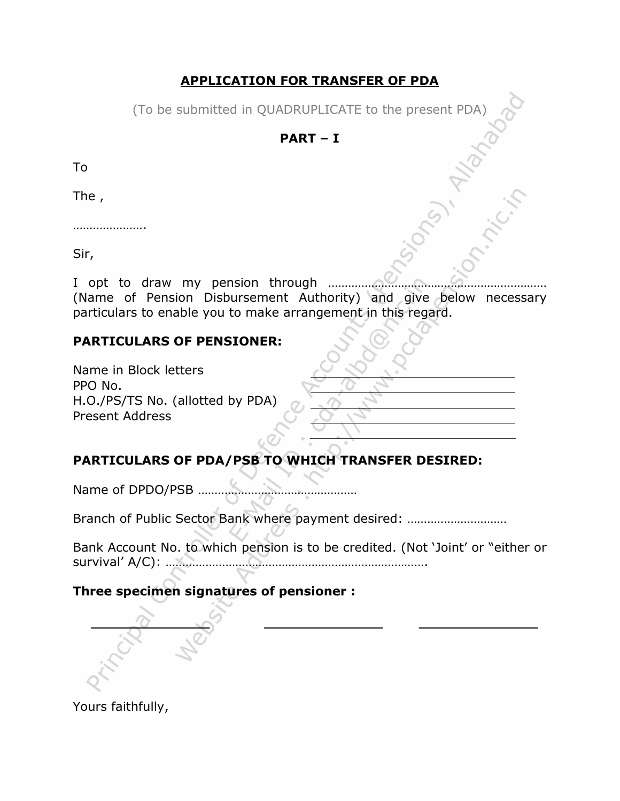## APPLICATION FOR TRANSFER OF PDA

(To be submitted in QUADRUPLICATE to the present PDA)<br>  $\begin{bmatrix} PART - I \end{bmatrix}$ 

### PART – I

To

The ,

………………….

Sir,

I opt to draw my pension through ………………………………………………………… (Name of Pension Disbursement Authority) and give below necessary particulars to enable you to make arrangement in this regard.

## PARTICULARS OF PENSIONER:

Name in Block letters PPO No. H.O./PS/TS No. (allotted by PDA) Present Address

# PARTICULARS OF PDA/PSB TO WHICH TRANSFER DESIRED:

Name of DPDO/PSB …………………………………………

Branch of Public Sector Bank where payment desired: …………………………

Bank Account No. to which pension is to be credited. (Not 'Joint' or "either or survival' A/C): …………………………………………………………………….

# Three specimen signatures of pensioner :

Yours faithfully,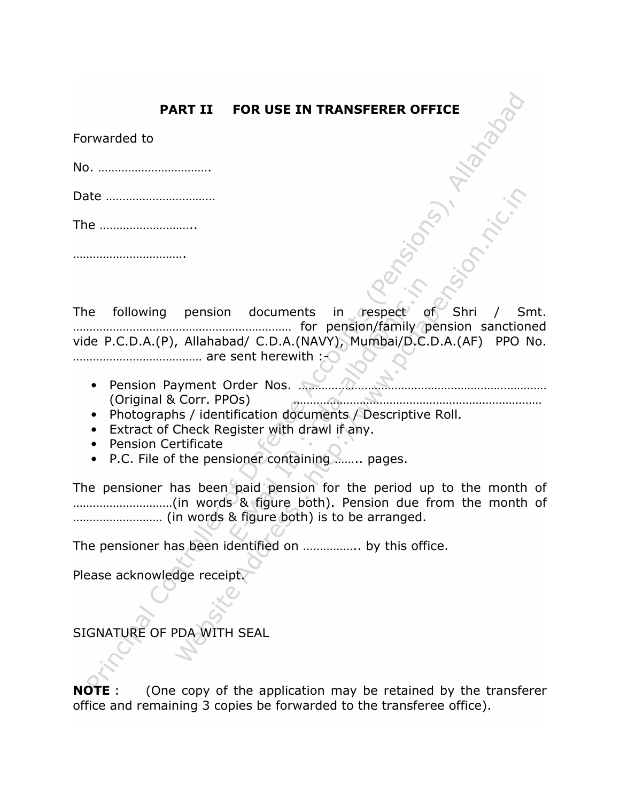#### PART II FOR USE IN TRANSFERER OFFICE

|      |              | <b>PART II</b> |                   | FOR USE IN TRANSFERER OFFICE                                 |              |
|------|--------------|----------------|-------------------|--------------------------------------------------------------|--------------|
|      | Forwarded to |                |                   |                                                              |              |
| No.  |              |                |                   |                                                              |              |
| Date |              |                |                   |                                                              |              |
| The  |              |                |                   |                                                              |              |
|      |              |                |                   |                                                              |              |
|      |              |                |                   |                                                              |              |
| The  | following    |                | pension documents | respect<br>in<br>0f<br>for nonojan/family nonojan canotioned | Shri<br>Smt. |

………………………………………………………… for pension/family pension sanctioned vide P.C.D.A.(P), Allahabad/ C.D.A.(NAVY), Mumbai/D.C.D.A.(AF) PPO No. ………………………………… are sent herewith :-

- Pension Payment Order Nos. ………………………………………………………………… (Original & Corr. PPOs) …………………………………………………………………
- Photographs / identification documents / Descriptive Roll.
- Extract of Check Register with drawl if any.
- Pension Certificate
- P.C. File of the pensioner containing …….. pages.

The pensioner has been paid pension for the period up to the month of …………………………(in words & figure both). Pension due from the month of ……………………… (in words & figure both) is to be arranged.

The pensioner has been identified on …………….. by this office.

Please acknowledge receipt.

SIGNATURE OF PDA WITH SEAL

**NOTE** : (One copy of the application may be retained by the transferer office and remaining 3 copies be forwarded to the transferee office).